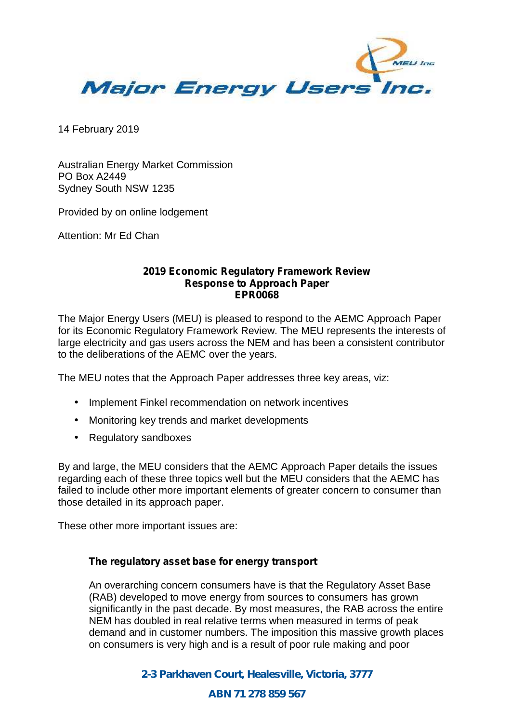

14 February 2019

Australian Energy Market Commission PO Box A2449 Sydney South NSW 1235

Provided by on online lodgement

Attention: Mr Ed Chan

#### **2019 Economic Regulatory Framework Review Response to Approach Paper EPR0068**

The Major Energy Users (MEU) is pleased to respond to the AEMC Approach Paper for its Economic Regulatory Framework Review. The MEU represents the interests of large electricity and gas users across the NEM and has been a consistent contributor to the deliberations of the AEMC over the years.

The MEU notes that the Approach Paper addresses three key areas, viz:

- Implement Finkel recommendation on network incentives
- Monitoring key trends and market developments
- Regulatory sandboxes

By and large, the MEU considers that the AEMC Approach Paper details the issues regarding each of these three topics well but the MEU considers that the AEMC has failed to include other more important elements of greater concern to consumer than those detailed in its approach paper.

These other more important issues are:

# **The regulatory asset base for energy transport**

An overarching concern consumers have is that the Regulatory Asset Base (RAB) developed to move energy from sources to consumers has grown significantly in the past decade. By most measures, the RAB across the entire NEM has doubled in real relative terms when measured in terms of peak demand and in customer numbers. The imposition this massive growth places on consumers is very high and is a result of poor rule making and poor

> *2-3 Parkhaven Court, Healesville, Victoria, 3777 ABN 71 278 859 567*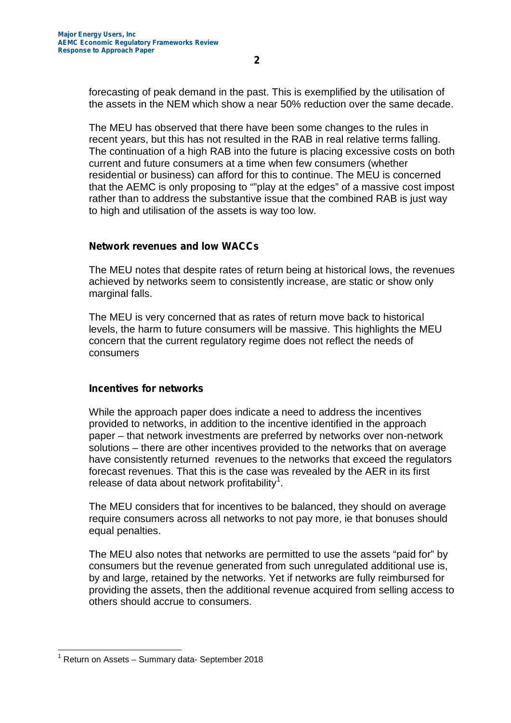forecasting of peak demand in the past. This is exemplified by the utilisation of the assets in the NEM which show a near 50% reduction over the same decade.

The MEU has observed that there have been some changes to the rules in recent years, but this has not resulted in the RAB in real relative terms falling. The continuation of a high RAB into the future is placing excessive costs on both current and future consumers at a time when few consumers (whether residential or business) can afford for this to continue. The MEU is concerned that the AEMC is only proposing to ""play at the edges" of a massive cost impost rather than to address the substantive issue that the combined RAB is just way to high and utilisation of the assets is way too low.

### **Network revenues and low WACCs**

The MEU notes that despite rates of return being at historical lows, the revenues achieved by networks seem to consistently increase, are static or show only marginal falls.

The MEU is very concerned that as rates of return move back to historical levels, the harm to future consumers will be massive. This highlights the MEU concern that the current regulatory regime does not reflect the needs of consumers

# **Incentives for networks**

While the approach paper does indicate a need to address the incentives provided to networks, in addition to the incentive identified in the approach paper – that network investments are preferred by networks over non-network solutions – there are other incentives provided to the networks that on average have consistently returned revenues to the networks that exceed the regulators forecast revenues. That this is the case was revealed by the AER in its first release of data about network profitability $^1$ .

The MEU considers that for incentives to be balanced, they should on average require consumers across all networks to not pay more, ie that bonuses should equal penalties.

The MEU also notes that networks are permitted to use the assets "paid for" by consumers but the revenue generated from such unregulated additional use is, by and large, retained by the networks. Yet if networks are fully reimbursed for providing the assets, then the additional revenue acquired from selling access to others should accrue to consumers.

 $1$  Return on Assets – Summary data- September 2018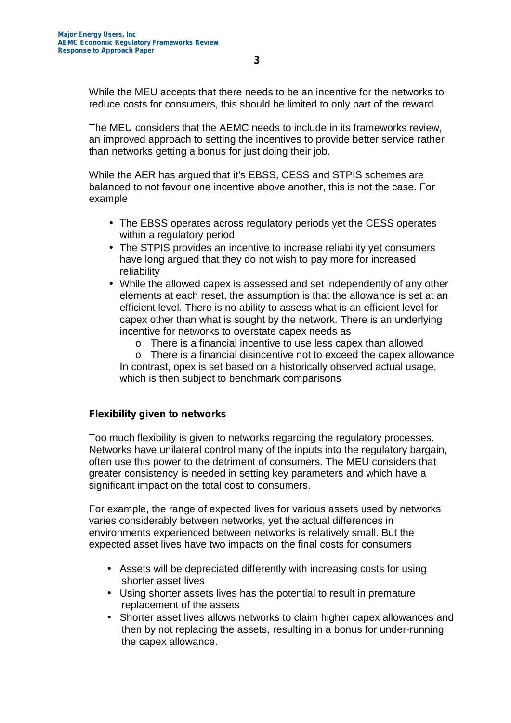While the MEU accepts that there needs to be an incentive for the networks to reduce costs for consumers, this should be limited to only part of the reward.

The MEU considers that the AEMC needs to include in its frameworks review, an improved approach to setting the incentives to provide better service rather than networks getting a bonus for just doing their job.

While the AER has argued that it's EBSS, CESS and STPIS schemes are balanced to not favour one incentive above another, this is not the case. For example

- The EBSS operates across regulatory periods yet the CESS operates within a regulatory period
- The STPIS provides an incentive to increase reliability yet consumers have long argued that they do not wish to pay more for increased reliability
- While the allowed capex is assessed and set independently of any other elements at each reset, the assumption is that the allowance is set at an efficient level. There is no ability to assess what is an efficient level for capex other than what is sought by the network. There is an underlying incentive for networks to overstate capex needs as
	- o There is a financial incentive to use less capex than allowed
	- o There is a financial disincentive not to exceed the capex allowance In contrast, opex is set based on a historically observed actual usage, which is then subject to benchmark comparisons

# **Flexibility given to networks**

Too much flexibility is given to networks regarding the regulatory processes. Networks have unilateral control many of the inputs into the regulatory bargain, often use this power to the detriment of consumers. The MEU considers that greater consistency is needed in setting key parameters and which have a significant impact on the total cost to consumers.

For example, the range of expected lives for various assets used by networks varies considerably between networks, yet the actual differences in environments experienced between networks is relatively small. But the expected asset lives have two impacts on the final costs for consumers

- Assets will be depreciated differently with increasing costs for using shorter asset lives
- Using shorter assets lives has the potential to result in premature replacement of the assets
- Shorter asset lives allows networks to claim higher capex allowances and then by not replacing the assets, resulting in a bonus for under-running the capex allowance.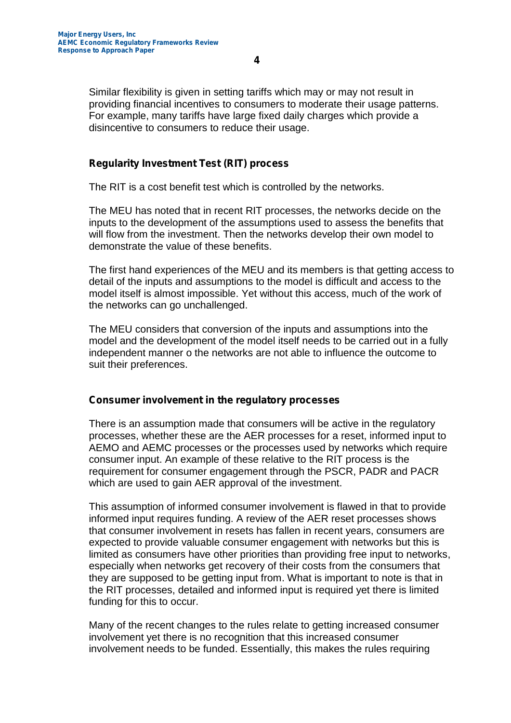Similar flexibility is given in setting tariffs which may or may not result in providing financial incentives to consumers to moderate their usage patterns. For example, many tariffs have large fixed daily charges which provide a disincentive to consumers to reduce their usage.

### **Regularity Investment Test (RIT) process**

The RIT is a cost benefit test which is controlled by the networks.

The MEU has noted that in recent RIT processes, the networks decide on the inputs to the development of the assumptions used to assess the benefits that will flow from the investment. Then the networks develop their own model to demonstrate the value of these benefits.

The first hand experiences of the MEU and its members is that getting access to detail of the inputs and assumptions to the model is difficult and access to the model itself is almost impossible. Yet without this access, much of the work of the networks can go unchallenged.

The MEU considers that conversion of the inputs and assumptions into the model and the development of the model itself needs to be carried out in a fully independent manner o the networks are not able to influence the outcome to suit their preferences.

#### **Consumer involvement in the regulatory processes**

There is an assumption made that consumers will be active in the regulatory processes, whether these are the AER processes for a reset, informed input to AEMO and AEMC processes or the processes used by networks which require consumer input. An example of these relative to the RIT process is the requirement for consumer engagement through the PSCR, PADR and PACR which are used to gain AER approval of the investment.

This assumption of informed consumer involvement is flawed in that to provide informed input requires funding. A review of the AER reset processes shows that consumer involvement in resets has fallen in recent years, consumers are expected to provide valuable consumer engagement with networks but this is limited as consumers have other priorities than providing free input to networks, especially when networks get recovery of their costs from the consumers that they are supposed to be getting input from. What is important to note is that in the RIT processes, detailed and informed input is required yet there is limited funding for this to occur.

Many of the recent changes to the rules relate to getting increased consumer involvement yet there is no recognition that this increased consumer involvement needs to be funded. Essentially, this makes the rules requiring